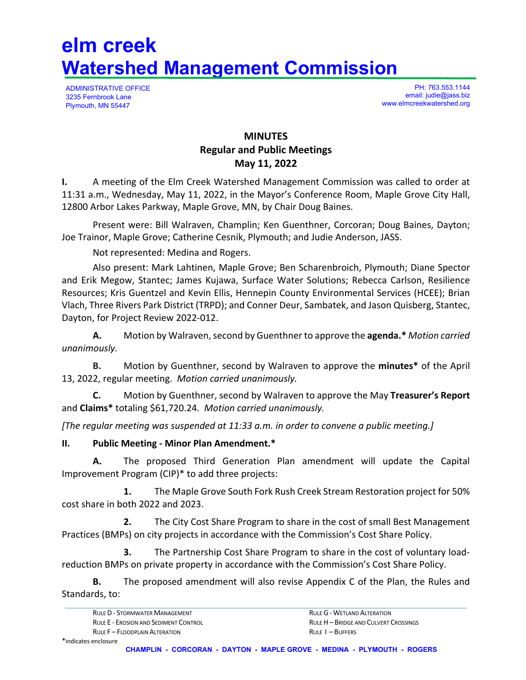# **elm creek Watershed Management Commission**

ADMINISTRATIVE OFFICE 3235 Fernbrook Lane Plymouth, MN 55447

PH: 763.553.1144 email: judie@jass.biz www.elmcreekwatershed.org

## **MINUTES Regular and Public Meetings May 11, 2022**

**I.** A meeting of the Elm Creek Watershed Management Commission was called to order at 11:31 a.m., Wednesday, May 11, 2022, in the Mayor's Conference Room, Maple Grove City Hall, 12800 Arbor Lakes Parkway, Maple Grove, MN, by Chair Doug Baines.

Present were: Bill Walraven, Champlin; Ken Guenthner, Corcoran; Doug Baines, Dayton; Joe Trainor, Maple Grove; Catherine Cesnik, Plymouth; and Judie Anderson, JASS.

Not represented: Medina and Rogers.

Also present: Mark Lahtinen, Maple Grove; Ben Scharenbroich, Plymouth; Diane Spector and Erik Megow, Stantec; James Kujawa, Surface Water Solutions; Rebecca Carlson, Resilience Resources; Kris Guentzel and Kevin Ellis, Hennepin County Environmental Services (HCEE); Brian Vlach, Three Rivers Park District (TRPD); and Conner Deur, Sambatek, and Jason Quisberg, Stantec, Dayton, for Project Review 2022-012.

**A.** Motion by Walraven, second by Guenthner to approve the **agenda.\*** *Motion carried unanimously.* 

 **B.** Motion by Guenthner, second by Walraven to approve the **minutes\*** of the April 13, 2022, regular meeting. *Motion carried unanimously.*

**C.** Motion by Guenthner, second by Walraven to approve the May **Treasurer's Report**  and **Claims\*** totaling \$61,720.24. *Motion carried unanimously.*

*[The regular meeting was suspended at 11:33 a.m. in order to convene a public meeting.]* 

#### **II. Public Meeting - Minor Plan Amendment.\***

 **A.** The proposed Third Generation Plan amendment will update the Capital Improvement Program (CIP)\* to add three projects:

**1.** The Maple Grove South Fork Rush Creek Stream Restoration project for 50% cost share in both 2022 and 2023.

**2.** The City Cost Share Program to share in the cost of small Best Management Practices (BMPs) on city projects in accordance with the Commission's Cost Share Policy.

**3.** The Partnership Cost Share Program to share in the cost of voluntary loadreduction BMPs on private property in accordance with the Commission's Cost Share Policy.

 **B.** The proposed amendment will also revise Appendix C of the Plan, the Rules and Standards, to: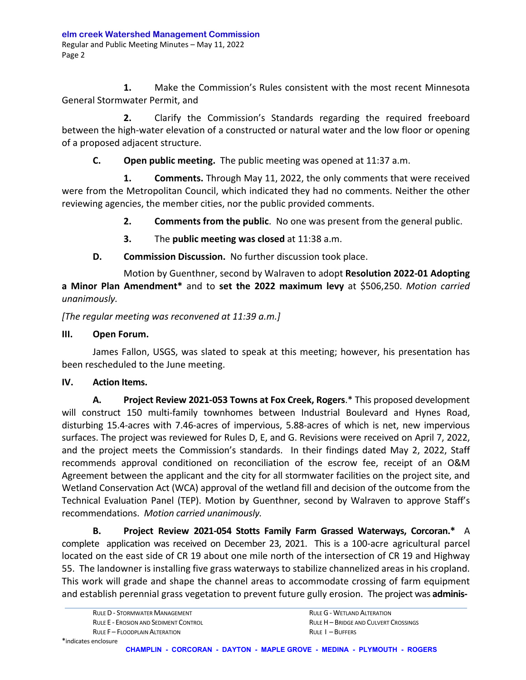**1.** Make the Commission's Rules consistent with the most recent Minnesota General Stormwater Permit, and

**2.** Clarify the Commission's Standards regarding the required freeboard between the high-water elevation of a constructed or natural water and the low floor or opening of a proposed adjacent structure.

**C. Open public meeting.** The public meeting was opened at 11:37 a.m.

**1. Comments.** Through May 11, 2022, the only comments that were received were from the Metropolitan Council, which indicated they had no comments. Neither the other reviewing agencies, the member cities, nor the public provided comments.

**2. Comments from the public**. No one was present from the general public.

- **3.** The **public meeting was closed** at 11:38 a.m.
- **D. Commission Discussion.** No further discussion took place.

Motion by Guenthner, second by Walraven to adopt **Resolution 2022-01 Adopting a Minor Plan Amendment\*** and to **set the 2022 maximum levy** at \$506,250. *Motion carried unanimously.* 

*[The regular meeting was reconvened at 11:39 a.m.]* 

#### **III. Open Forum.**

 James Fallon, USGS, was slated to speak at this meeting; however, his presentation has been rescheduled to the June meeting.

#### **IV. Action Items.**

 **A. Project Review 2021-053 Towns at Fox Creek, Rogers**.\* This proposed development will construct 150 multi-family townhomes between Industrial Boulevard and Hynes Road, disturbing 15.4-acres with 7.46-acres of impervious, 5.88-acres of which is net, new impervious surfaces. The project was reviewed for Rules D, E, and G. Revisions were received on April 7, 2022, and the project meets the Commission's standards. In their findings dated May 2, 2022, Staff recommends approval conditioned on reconciliation of the escrow fee, receipt of an O&M Agreement between the applicant and the city for all stormwater facilities on the project site, and Wetland Conservation Act (WCA) approval of the wetland fill and decision of the outcome from the Technical Evaluation Panel (TEP). Motion by Guenthner, second by Walraven to approve Staff's recommendations. *Motion carried unanimously.*

**B. Project Review 2021-054 Stotts Family Farm Grassed Waterways, Corcoran.\*** A complete application was received on December 23, 2021. This is a 100-acre agricultural parcel located on the east side of CR 19 about one mile north of the intersection of CR 19 and Highway 55. The landowner is installing five grass waterways to stabilize channelized areas in his cropland. This work will grade and shape the channel areas to accommodate crossing of farm equipment and establish perennial grass vegetation to prevent future gully erosion. The project was **adminis-** 

RULE D - STORMWATER MANAGEMENT **RULE ACTES RULE G - WETLAND ALTERATION** RULE E - EROSION AND SEDIMENT CONTROL **RULE AND SET AND A SET AND A CULVERT CROSSINGS** RULE F – FLOODPLAIN ALTERATION **RULE I – BUFFERS**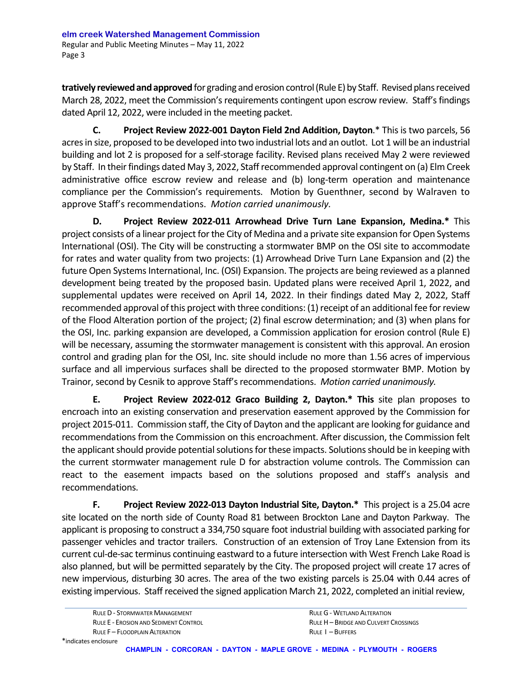**tratively reviewed and approved** for grading and erosion control (Rule E) by Staff. Revised plans received March 28, 2022, meet the Commission's requirements contingent upon escrow review. Staff's findings dated April 12, 2022, were included in the meeting packet.

**C. Project Review 2022-001 Dayton Field 2nd Addition, Dayton**.\* This is two parcels, 56 acres in size, proposed to be developed into two industrial lots and an outlot. Lot 1 will be an industrial building and lot 2 is proposed for a self-storage facility. Revised plans received May 2 were reviewed by Staff. In their findings dated May 3, 2022, Staff recommended approval contingent on (a) Elm Creek administrative office escrow review and release and (b) long-term operation and maintenance compliance per the Commission's requirements. Motion by Guenthner, second by Walraven to approve Staff's recommendations. *Motion carried unanimously.*

**D. Project Review 2022-011 Arrowhead Drive Turn Lane Expansion, Medina.\*** This project consists of a linear project for the City of Medina and a private site expansion for Open Systems International (OSI). The City will be constructing a stormwater BMP on the OSI site to accommodate for rates and water quality from two projects: (1) Arrowhead Drive Turn Lane Expansion and (2) the future Open Systems International, Inc. (OSI) Expansion. The projects are being reviewed as a planned development being treated by the proposed basin. Updated plans were received April 1, 2022, and supplemental updates were received on April 14, 2022. In their findings dated May 2, 2022, Staff recommended approval of this project with three conditions: (1) receipt of an additional fee for review of the Flood Alteration portion of the project; (2) final escrow determination; and (3) when plans for the OSI, Inc. parking expansion are developed, a Commission application for erosion control (Rule E) will be necessary, assuming the stormwater management is consistent with this approval. An erosion control and grading plan for the OSI, Inc. site should include no more than 1.56 acres of impervious surface and all impervious surfaces shall be directed to the proposed stormwater BMP. Motion by Trainor, second by Cesnik to approve Staff's recommendations. *Motion carried unanimously.* 

**E. Project Review 2022-012 Graco Building 2, Dayton.\* This** site plan proposes to encroach into an existing conservation and preservation easement approved by the Commission for project 2015-011. Commission staff, the City of Dayton and the applicant are looking for guidance and recommendations from the Commission on this encroachment. After discussion, the Commission felt the applicant should provide potential solutions for these impacts. Solutions should be in keeping with the current stormwater management rule D for abstraction volume controls. The Commission can react to the easement impacts based on the solutions proposed and staff's analysis and recommendations.

**F. Project Review 2022-013 Dayton Industrial Site, Dayton.\*** This project is a 25.04 acre site located on the north side of County Road 81 between Brockton Lane and Dayton Parkway. The applicant is proposing to construct a 334,750 square foot industrial building with associated parking for passenger vehicles and tractor trailers. Construction of an extension of Troy Lane Extension from its current cul-de-sac terminus continuing eastward to a future intersection with West French Lake Road is also planned, but will be permitted separately by the City. The proposed project will create 17 acres of new impervious, disturbing 30 acres. The area of the two existing parcels is 25.04 with 0.44 acres of existing impervious. Staff received the signed application March 21, 2022, completed an initial review,

RULE D - STORMWATER MANAGEMENT **RULE GEORGE COMMUNISTIES** RULE G - WETLAND ALTERATION RULE F – FLOODPLAIN ALTERATION **RULE I – BUFFERS**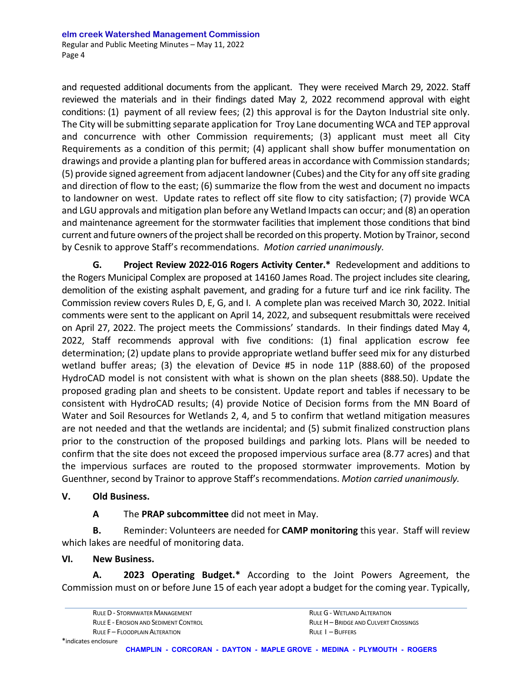and requested additional documents from the applicant. They were received March 29, 2022. Staff reviewed the materials and in their findings dated May 2, 2022 recommend approval with eight conditions: (1) payment of all review fees; (2) this approval is for the Dayton Industrial site only. The City will be submitting separate application for Troy Lane documenting WCA and TEP approval and concurrence with other Commission requirements; (3) applicant must meet all City Requirements as a condition of this permit; (4) applicant shall show buffer monumentation on drawings and provide a planting plan for buffered areas in accordance with Commission standards; (5) provide signed agreement from adjacent landowner (Cubes) and the City for any off site grading and direction of flow to the east; (6) summarize the flow from the west and document no impacts to landowner on west. Update rates to reflect off site flow to city satisfaction; (7) provide WCA and LGU approvals and mitigation plan before any Wetland Impacts can occur; and (8) an operation and maintenance agreement for the stormwater facilities that implement those conditions that bind current and future owners of the project shall be recorded on this property. Motion by Trainor, second by Cesnik to approve Staff's recommendations. *Motion carried unanimously.* 

 **G. Project Review 2022-016 Rogers Activity Center.\***Redevelopment and additions to the Rogers Municipal Complex are proposed at 14160 James Road. The project includes site clearing, demolition of the existing asphalt pavement, and grading for a future turf and ice rink facility. The Commission review covers Rules D, E, G, and I. A complete plan was received March 30, 2022. Initial comments were sent to the applicant on April 14, 2022, and subsequent resubmittals were received on April 27, 2022. The project meets the Commissions' standards. In their findings dated May 4, 2022, Staff recommends approval with five conditions: (1) final application escrow fee determination; (2) update plans to provide appropriate wetland buffer seed mix for any disturbed wetland buffer areas; (3) the elevation of Device #5 in node 11P (888.60) of the proposed HydroCAD model is not consistent with what is shown on the plan sheets (888.50). Update the proposed grading plan and sheets to be consistent. Update report and tables if necessary to be consistent with HydroCAD results; (4) provide Notice of Decision forms from the MN Board of Water and Soil Resources for Wetlands 2, 4, and 5 to confirm that wetland mitigation measures are not needed and that the wetlands are incidental; and (5) submit finalized construction plans prior to the construction of the proposed buildings and parking lots. Plans will be needed to confirm that the site does not exceed the proposed impervious surface area (8.77 acres) and that the impervious surfaces are routed to the proposed stormwater improvements. Motion by Guenthner, second by Trainor to approve Staff's recommendations. *Motion carried unanimously.*

#### **V. Old Business.**

#### **A** The **PRAP subcommittee** did not meet in May.

**B.** Reminder: Volunteers are needed for **CAMP monitoring** this year. Staff will review which lakes are needful of monitoring data.

#### **VI. New Business.**

 **A. 2023 Operating Budget.\*** According to the Joint Powers Agreement, the Commission must on or before June 15 of each year adopt a budget for the coming year. Typically,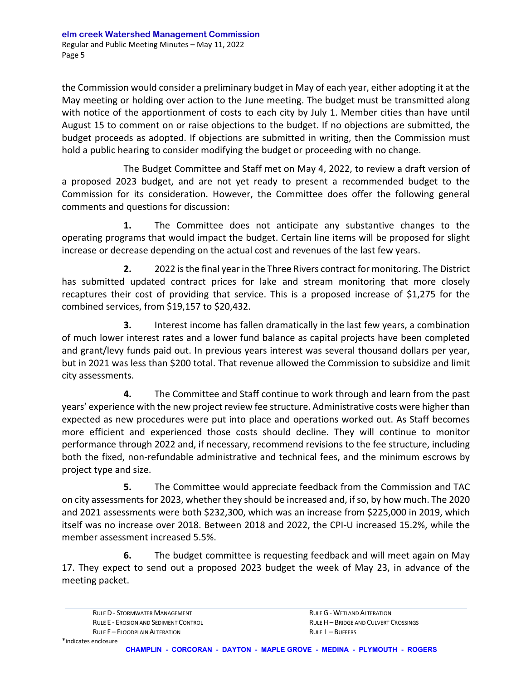the Commission would consider a preliminary budget in May of each year, either adopting it at the May meeting or holding over action to the June meeting. The budget must be transmitted along with notice of the apportionment of costs to each city by July 1. Member cities than have until August 15 to comment on or raise objections to the budget. If no objections are submitted, the budget proceeds as adopted. If objections are submitted in writing, then the Commission must hold a public hearing to consider modifying the budget or proceeding with no change.

 The Budget Committee and Staff met on May 4, 2022, to review a draft version of a proposed 2023 budget, and are not yet ready to present a recommended budget to the Commission for its consideration. However, the Committee does offer the following general comments and questions for discussion:

 **1.** The Committee does not anticipate any substantive changes to the operating programs that would impact the budget. Certain line items will be proposed for slight increase or decrease depending on the actual cost and revenues of the last few years.

 **2.** 2022 is the final year in the Three Rivers contract for monitoring. The District has submitted updated contract prices for lake and stream monitoring that more closely recaptures their cost of providing that service. This is a proposed increase of \$1,275 for the combined services, from \$19,157 to \$20,432.

 **3.** Interest income has fallen dramatically in the last few years, a combination of much lower interest rates and a lower fund balance as capital projects have been completed and grant/levy funds paid out. In previous years interest was several thousand dollars per year, but in 2021 was less than \$200 total. That revenue allowed the Commission to subsidize and limit city assessments.

 **4.** The Committee and Staff continue to work through and learn from the past years' experience with the new project review fee structure. Administrative costs were higher than expected as new procedures were put into place and operations worked out. As Staff becomes more efficient and experienced those costs should decline. They will continue to monitor performance through 2022 and, if necessary, recommend revisions to the fee structure, including both the fixed, non-refundable administrative and technical fees, and the minimum escrows by project type and size.

**5.** The Committee would appreciate feedback from the Commission and TAC on city assessments for 2023, whether they should be increased and, if so, by how much. The 2020 and 2021 assessments were both \$232,300, which was an increase from \$225,000 in 2019, which itself was no increase over 2018. Between 2018 and 2022, the CPI-U increased 15.2%, while the member assessment increased 5.5%.

 **6.** The budget committee is requesting feedback and will meet again on May 17. They expect to send out a proposed 2023 budget the week of May 23, in advance of the meeting packet.

RULE D - STORMWATER MANAGEMENT **RULE GEORGE COMMUNISTIES** RULE G - WETLAND ALTERATION RULE E - EROSION AND SEDIMENT CONTROL RULE H– BRIDGE AND CULVERT CROSSINGS RULE F – FLOODPLAIN ALTERATION **RULE I – BUFFERS**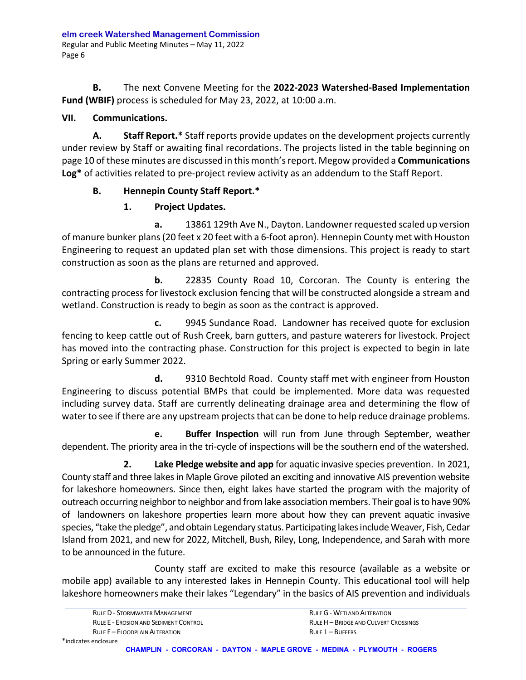**B.** The next Convene Meeting for the **2022-2023 Watershed-Based Implementation Fund (WBIF)** process is scheduled for May 23, 2022, at 10:00 a.m.

#### **VII. Communications.**

**A. Staff Report.\*** Staff reports provide updates on the development projects currently under review by Staff or awaiting final recordations. The projects listed in the table beginning on page 10 of these minutes are discussed in this month's report. Megow provided a **Communications Log\*** of activities related to pre-project review activity as an addendum to the Staff Report.

#### **B. Hennepin County Staff Report.\***

### **1. Project Updates.**

**a.** 13861 129th Ave N., Dayton. Landowner requested scaled up version of manure bunker plans (20 feet x 20 feet with a 6-foot apron). Hennepin County met with Houston Engineering to request an updated plan set with those dimensions. This project is ready to start construction as soon as the plans are returned and approved.

**b.** 22835 County Road 10, Corcoran. The County is entering the contracting process for livestock exclusion fencing that will be constructed alongside a stream and wetland. Construction is ready to begin as soon as the contract is approved.

 **c.** 9945 Sundance Road. Landowner has received quote for exclusion fencing to keep cattle out of Rush Creek, barn gutters, and pasture waterers for livestock. Project has moved into the contracting phase. Construction for this project is expected to begin in late Spring or early Summer 2022.

 **d.** 9310 Bechtold Road. County staff met with engineer from Houston Engineering to discuss potential BMPs that could be implemented. More data was requested including survey data. Staff are currently delineating drainage area and determining the flow of water to see if there are any upstream projects that can be done to help reduce drainage problems.

 **e. Buffer Inspection** will run from June through September, weather dependent. The priority area in the tri-cycle of inspections will be the southern end of the watershed.

**2. Lake Pledge website and app** for aquatic invasive species prevention. In 2021, County staff and three lakes in Maple Grove piloted an exciting and innovative AIS prevention website for lakeshore homeowners. Since then, eight lakes have started the program with the majority of outreach occurring neighbor to neighbor and from lake association members. Their goal is to have 90% of landowners on lakeshore properties learn more about how they can prevent aquatic invasive species, "take the pledge", and obtain Legendary status. Participating lakes include Weaver, Fish, Cedar Island from 2021, and new for 2022, Mitchell, Bush, Riley, Long, Independence, and Sarah with more to be announced in the future.

 County staff are excited to make this resource (available as a website or mobile app) available to any interested lakes in Hennepin County. This educational tool will help lakeshore homeowners make their lakes "Legendary" in the basics of AIS prevention and individuals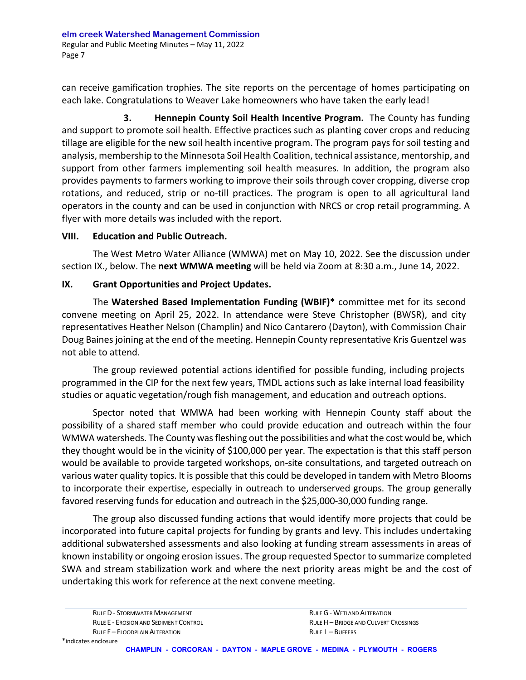can receive gamification trophies. The site reports on the percentage of homes participating on each lake. Congratulations to Weaver Lake homeowners who have taken the early lead!

 **3. Hennepin County Soil Health Incentive Program.** The County has funding and support to promote soil health. Effective practices such as planting cover crops and reducing tillage are eligible for the new soil health incentive program. The program pays for soil testing and analysis, membership to the Minnesota Soil Health Coalition, technical assistance, mentorship, and support from other farmers implementing soil health measures. In addition, the program also provides payments to farmers working to improve their soils through cover cropping, diverse crop rotations, and reduced, strip or no-till practices. The program is open to all agricultural land operators in the county and can be used in conjunction with NRCS or crop retail programming. A flyer with more details was included with the report.

#### **VIII. Education and Public Outreach.**

The West Metro Water Alliance (WMWA) met on May 10, 2022. See the discussion under section IX., below. The **next WMWA meeting** will be held via Zoom at 8:30 a.m., June 14, 2022.

#### **IX. Grant Opportunities and Project Updates.**

The **Watershed Based Implementation Funding (WBIF)\*** committee met for its second convene meeting on April 25, 2022. In attendance were Steve Christopher (BWSR), and city representatives Heather Nelson (Champlin) and Nico Cantarero (Dayton), with Commission Chair Doug Baines joining at the end of the meeting. Hennepin County representative Kris Guentzel was not able to attend.

The group reviewed potential actions identified for possible funding, including projects programmed in the CIP for the next few years, TMDL actions such as lake internal load feasibility studies or aquatic vegetation/rough fish management, and education and outreach options.

 Spector noted that WMWA had been working with Hennepin County staff about the possibility of a shared staff member who could provide education and outreach within the four WMWA watersheds. The County was fleshing out the possibilities and what the cost would be, which they thought would be in the vicinity of \$100,000 per year. The expectation is that this staff person would be available to provide targeted workshops, on-site consultations, and targeted outreach on various water quality topics. It is possible that this could be developed in tandem with Metro Blooms to incorporate their expertise, especially in outreach to underserved groups. The group generally favored reserving funds for education and outreach in the \$25,000-30,000 funding range.

The group also discussed funding actions that would identify more projects that could be incorporated into future capital projects for funding by grants and levy. This includes undertaking additional subwatershed assessments and also looking at funding stream assessments in areas of known instability or ongoing erosion issues. The group requested Spector to summarize completed SWA and stream stabilization work and where the next priority areas might be and the cost of undertaking this work for reference at the next convene meeting.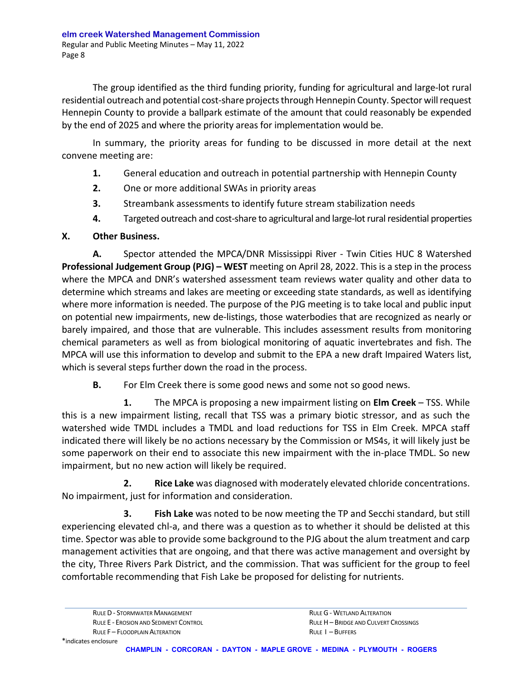The group identified as the third funding priority, funding for agricultural and large-lot rural residential outreach and potential cost-share projects through Hennepin County. Spector will request Hennepin County to provide a ballpark estimate of the amount that could reasonably be expended by the end of 2025 and where the priority areas for implementation would be.

In summary, the priority areas for funding to be discussed in more detail at the next convene meeting are:

- **1.** General education and outreach in potential partnership with Hennepin County
- **2.** One or more additional SWAs in priority areas
- **3.** Streambank assessments to identify future stream stabilization needs
- **4.** Targeted outreach and cost-share to agricultural and large-lot rural residential properties

#### **X. Other Business.**

**A.** Spector attended the MPCA/DNR Mississippi River - Twin Cities HUC 8 Watershed **Professional Judgement Group (PJG) – WEST** meeting on April 28, 2022. This is a step in the process where the MPCA and DNR's watershed assessment team reviews water quality and other data to determine which streams and lakes are meeting or exceeding state standards, as well as identifying where more information is needed. The purpose of the PJG meeting is to take local and public input on potential new impairments, new de-listings, those waterbodies that are recognized as nearly or barely impaired, and those that are vulnerable. This includes assessment results from monitoring chemical parameters as well as from biological monitoring of aquatic invertebrates and fish. The MPCA will use this information to develop and submit to the EPA a new draft Impaired Waters list, which is several steps further down the road in the process.

**B.** For Elm Creek there is some good news and some not so good news.

 **1.** The MPCA is proposing a new impairment listing on **Elm Creek** – TSS. While this is a new impairment listing, recall that TSS was a primary biotic stressor, and as such the watershed wide TMDL includes a TMDL and load reductions for TSS in Elm Creek. MPCA staff indicated there will likely be no actions necessary by the Commission or MS4s, it will likely just be some paperwork on their end to associate this new impairment with the in-place TMDL. So new impairment, but no new action will likely be required.

 **2. Rice Lake** was diagnosed with moderately elevated chloride concentrations. No impairment, just for information and consideration.

 **3. Fish Lake** was noted to be now meeting the TP and Secchi standard, but still experiencing elevated chl-a, and there was a question as to whether it should be delisted at this time. Spector was able to provide some background to the PJG about the alum treatment and carp management activities that are ongoing, and that there was active management and oversight by the city, Three Rivers Park District, and the commission. That was sufficient for the group to feel comfortable recommending that Fish Lake be proposed for delisting for nutrients.

RULE D - STORMWATER MANAGEMENT **RULE GEORGE COMMUNISTIES** RULE G - WETLAND ALTERATION RULE E - EROSION AND SEDIMENT CONTROL **RULE AND SET AND A SET AND A CULVERT CROSSINGS** RULE F – FLOODPLAIN ALTERATION **RULE I – BUFFERS**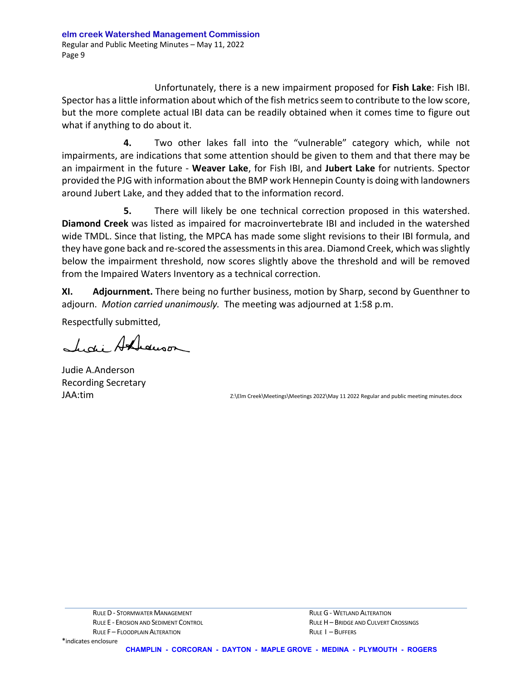Unfortunately, there is a new impairment proposed for **Fish Lake**: Fish IBI. Spector has a little information about which of the fish metrics seem to contribute to the low score, but the more complete actual IBI data can be readily obtained when it comes time to figure out what if anything to do about it.

 **4.** Two other lakes fall into the "vulnerable" category which, while not impairments, are indications that some attention should be given to them and that there may be an impairment in the future - **Weaver Lake**, for Fish IBI, and **Jubert Lake** for nutrients. Spector provided the PJG with information about the BMP work Hennepin County is doing with landowners around Jubert Lake, and they added that to the information record.

 **5.** There will likely be one technical correction proposed in this watershed. **Diamond Creek** was listed as impaired for macroinvertebrate IBI and included in the watershed wide TMDL. Since that listing, the MPCA has made some slight revisions to their IBI formula, and they have gone back and re-scored the assessments in this area. Diamond Creek, which was slightly below the impairment threshold, now scores slightly above the threshold and will be removed from the Impaired Waters Inventory as a technical correction.

**XI. Adjournment.** There being no further business, motion by Sharp, second by Guenthner to adjourn. *Motion carried unanimously.* The meeting was adjourned at 1:58 p.m.

Respectfully submitted,

Lidi Andrewson

Judie A.Anderson Recording Secretary

JAA:tim z:\Elm Creek\Meetings\Meetings 2022\May 11 2022 Regular and public meeting minutes.docx

\*indicates enclosure

**CHAMPLIN - CORCORAN - DAYTON - MAPLE GROVE - MEDINA - PLYMOUTH - ROGERS**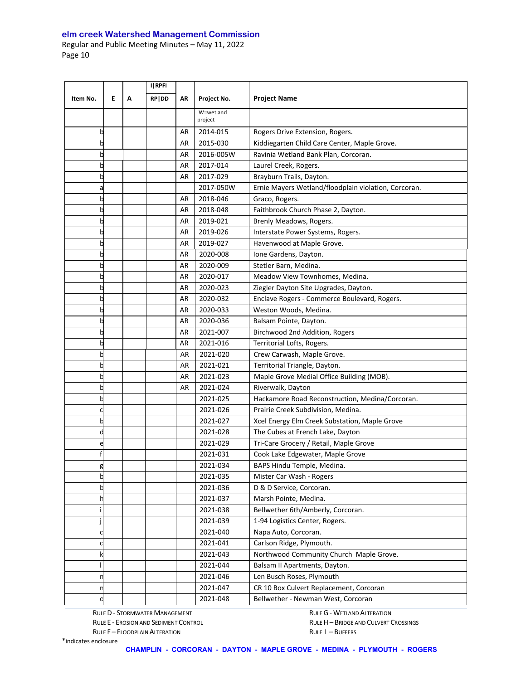|          |   |   | I RPFI |    |                      |                                                      |
|----------|---|---|--------|----|----------------------|------------------------------------------------------|
| Item No. | E | Α | RP DD  | AR | Project No.          | <b>Project Name</b>                                  |
|          |   |   |        |    | W=wetland<br>project |                                                      |
| b        |   |   |        | AR | 2014-015             | Rogers Drive Extension, Rogers.                      |
| b        |   |   |        | AR | 2015-030             | Kiddiegarten Child Care Center, Maple Grove.         |
| b        |   |   |        | AR | 2016-005W            | Ravinia Wetland Bank Plan, Corcoran.                 |
| b        |   |   |        | AR | 2017-014             | Laurel Creek, Rogers.                                |
| b        |   |   |        | AR | 2017-029             | Brayburn Trails, Dayton.                             |
| а        |   |   |        |    | 2017-050W            | Ernie Mayers Wetland/floodplain violation, Corcoran. |
| b        |   |   |        | AR | 2018-046             | Graco, Rogers.                                       |
| b        |   |   |        | AR | 2018-048             | Faithbrook Church Phase 2, Dayton.                   |
| b        |   |   |        | AR | 2019-021             | Brenly Meadows, Rogers.                              |
| b        |   |   |        | AR | 2019-026             | Interstate Power Systems, Rogers.                    |
|          |   |   |        | AR | 2019-027             | Havenwood at Maple Grove.                            |
| b        |   |   |        | AR | 2020-008             | Ione Gardens, Dayton.                                |
| b        |   |   |        | AR | 2020-009             | Stetler Barn, Medina.                                |
| b        |   |   |        | AR | 2020-017             | Meadow View Townhomes, Medina.                       |
| b        |   |   |        | AR | 2020-023             | Ziegler Dayton Site Upgrades, Dayton.                |
| b        |   |   |        | AR | 2020-032             | Enclave Rogers - Commerce Boulevard, Rogers.         |
| b        |   |   |        | AR | 2020-033             | Weston Woods, Medina.                                |
| b        |   |   |        | AR | 2020-036             | Balsam Pointe, Dayton.                               |
| b        |   |   |        | AR | 2021-007             | Birchwood 2nd Addition, Rogers                       |
| b        |   |   |        | AR | 2021-016             | Territorial Lofts, Rogers.                           |
|          |   |   |        | AR | 2021-020             | Crew Carwash, Maple Grove.                           |
|          |   |   |        | AR | 2021-021             | Territorial Triangle, Dayton.                        |
|          |   |   |        | AR | 2021-023             | Maple Grove Medial Office Building (MOB).            |
|          |   |   |        | AR | 2021-024             | Riverwalk, Dayton                                    |
|          |   |   |        |    | 2021-025             | Hackamore Road Reconstruction, Medina/Corcoran.      |
|          |   |   |        |    | 2021-026             | Prairie Creek Subdivision, Medina.                   |
|          |   |   |        |    | 2021-027             | Xcel Energy Elm Creek Substation, Maple Grove        |
|          |   |   |        |    | 2021-028             | The Cubes at French Lake, Dayton                     |
| e        |   |   |        |    | 2021-029             | Tri-Care Grocery / Retail, Maple Grove               |
|          |   |   |        |    | 2021-031             | Cook Lake Edgewater, Maple Grove                     |
| g        |   |   |        |    | 2021-034             | BAPS Hindu Temple, Medina.                           |
|          |   |   |        |    | 2021-035             | Mister Car Wash - Rogers                             |
|          |   |   |        |    | 2021-036             | D & D Service, Corcoran.                             |
|          |   |   |        |    | 2021-037             | Marsh Pointe, Medina.                                |
|          |   |   |        |    | 2021-038             | Bellwether 6th/Amberly, Corcoran.                    |
|          |   |   |        |    | 2021-039             | 1-94 Logistics Center, Rogers.                       |
|          |   |   |        |    | 2021-040             | Napa Auto, Corcoran.                                 |
|          |   |   |        |    | 2021-041             | Carlson Ridge, Plymouth.                             |
|          |   |   |        |    | 2021-043             | Northwood Community Church Maple Grove.              |
|          |   |   |        |    | 2021-044             | Balsam II Apartments, Dayton.                        |
|          |   |   |        |    | 2021-046             | Len Busch Roses, Plymouth                            |
|          |   |   |        |    | 2021-047             | CR 10 Box Culvert Replacement, Corcoran              |
|          |   |   |        |    | 2021-048             | Bellwether - Newman West, Corcoran                   |

RULE D - STORMWATER MANAGEMENT RULE G - WETLAND ALTERATION

RULE F – FLOODPLAIN ALTERATION **RULE I – BUFFERS** 

RULE E - EROSION AND SEDIMENT CONTROL **RULE H** - BRIDGE AND CULVERT CROSSINGS